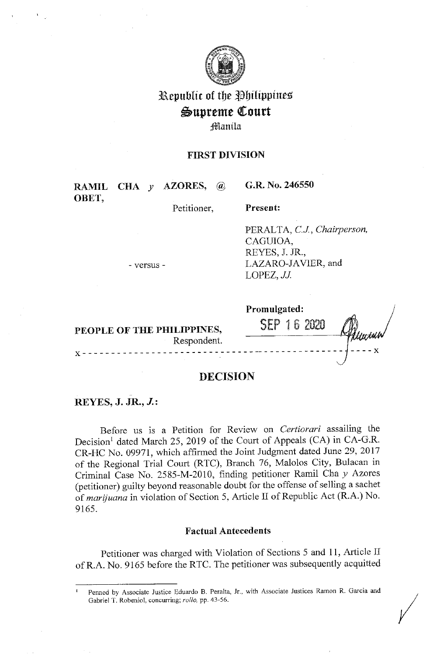

# Republic of the Philippines Supreme Court **Manila**

# **FIRST DIVISION**

**RAMIL CHA** *y* **AZORES,** @ **OBET,** 

**G.R. No. 246550** 

Petitioner,

**Present:** 

PERALTA, *CJ., Chairperson,*  CAGUIOA, REYES, J. JR., LAZARO-JAVIER, and  $LOPEZ, JJ.$ 

- versus -

|                                           | Promulgated: |
|-------------------------------------------|--------------|
| PEOPLE OF THE PHILIPPINES,<br>Respondent. | b<br>SFP     |
|                                           |              |

# **DECISION**

# **REYES, J. JR., J.:**

Before us is a Petition for Review on *Certiorari* assailing the Decision<sup>1</sup> dated March 25, 2019 of the Court of Appeals (CA) in CA-G.R. CR-HC No. 09971, which affirmed the Joint Judgment dated June 29, 2017 of the Regional Trial Court (RTC), Branch 76, Malolos City, Bulacan in Criminal Case No. 2585-M-2010, finding petitioner Ramil Chay Azores (petitioner) guilty beyond reasonable doubt for the offense of selling a sachet of *marijuana* in violation of Section 5, Article II of Republic Act (R.A.) No. 9165.

# **Factual Antecedents**

Petitioner was charged with Violation of Sections 5 and 11, Article II ofR.A. No. 9165 before the RTC. The petitioner was subsequently acquitted

<sup>&</sup>lt;sup>1</sup> Penned by Associate Justice Eduardo B. Peralta, Jr., with Associate Justices Ramon R. Garcia and Gabriel T. Robeniol, concurring; *rollo*, pp. 43-56. *I*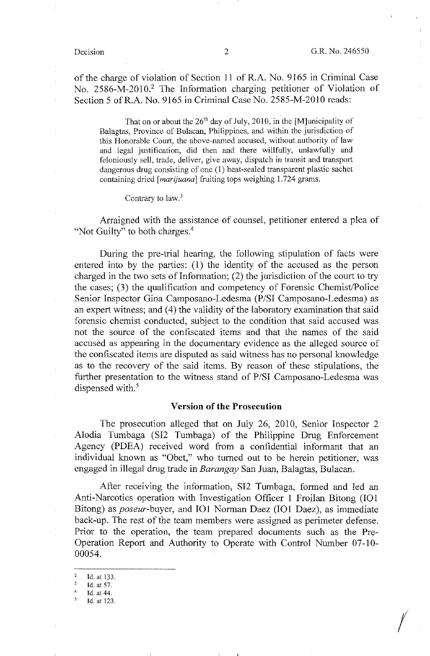*I* 

of the charge of violation of Section 11 of R.A. No. 9165 in Criminal Case No. 2586-M-2010.<sup>2</sup> The Information charging petitioner of Violation of Section 5 ofR.A. No. 9165 in Criminal Case No. 2585-M-2010 reads:

That on or about the  $26<sup>th</sup>$  day of July, 2010, in the [M]unicipality of Balagtas, Province of Bulacan, Philippines, and within the jurisdiction of this Honorable Court, the above-named accused, without authority of law and legal justification, did then and there willfully, unlawfully and feloniously sell, trade, deliver, give away, dispatch in transit and transport dangerous drug consisting of one (1) heat-sealed transparent plastic sachet containing dried *[marijuana]* fruiting tops weighing 1. 724 grams.

### Contrary to law.<sup>3</sup>

Arraigned with the assistance of counsel, petitioner entered a plea of "Not Guilty" to both charges.<sup>4</sup>

During the pre-trial hearing, the following stipulation of facts were entered into by the parties: (I) the identity of the accused as the person charged in the two sets of Information; (2) the jurisdiction of the court to try the cases; (3) the qualification and competency of Forensic Chemist/Police Senior Inspector Gina Camposano-Ledesma **(P/SI** Camposano-Ledesma) as an expert witness; and (4) the validity of the laboratory examination that said forensic chemist conducted, subject to the condition that said accused was not the source of the confiscated items and that the names of the said accused as appearing in the documentary evidence as the alleged source of the confiscated items are disputed as said witness has no personal knowledge as to the recovery of the said items. By reason of these stipulations, the further presentation to the witness stand of P/SI Camposano-Ledesma was dispensed with.<sup>5</sup>

### **Version of the Prosecution**

The prosecution alleged that on July 26, 2010, Senior Inspector 2 Alodia Tumbaga (SI2 Tumbaga) of the Philippine Drug Enforcement Agency (PDEA) received word from a confidential informant that an individual known as "Obet," who turned out to be herein petitioner, was engaged in illegal drug trade in *Barangay* San Juan, Balagtas, Bulacan.

After receiving the information, SI2 Tumbaga, formed and led an Anti-Narcotics operation with Investigation Officer l Froilan Bitong (IOI Bitong) as *poseur-buyer,* and IOI Norman Daez (IOI Daez), as immediate back-up. The rest of the team members were assigned as perimeter defense. Prior to the operation, the team prepared documents such as the Pre-Operation Report and Authority to Operate with Control Number 07-10- 00054.

 $\frac{2}{3}$  Id. at 133.  $\frac{3}{4}$  Id. at 57.  $^{4}$  Id. at 44.

<sup>5</sup>Id. at 123.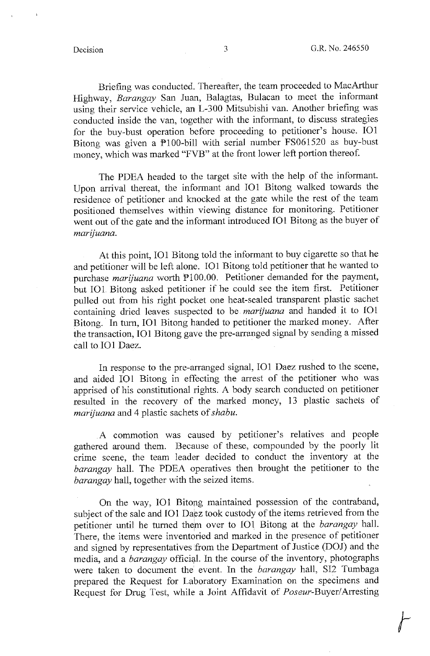Briefing was conducted. Thereafter, the team proceeded to MacArthur Highway, *Barangay* San Juan, Balagtas, Bulacan to meet the informant using their service vehicle, an L-300 Mitsubishi van. Another briefing was conducted inside the van, together with the informant, to discuss strategies for the buy-bust operation before proceeding to petitioner's house. **101**  Bitong was given a Pl00-bill with serial number FS061520 as buy-bust money, which was marked "FVB" at the front lower left portion thereof.

The PDEA headed to the target site with the help of the informant. Upon arrival thereat, the informant and IOI Bitong walked towards the residence of petitioner and knocked at the gate while the rest of the team positioned themselves within viewing distance for monitoring. Petitioner went out of the gate and the informant introduced IOI Bitong as the buyer of *marijuana.* 

At this point, IOI Bitong told the informant to buy cigarette so that he and petitioner will be left alone. IOI Bitong told petitioner that he wanted to purchase *marijuana* worth PI00.00. Petitioner demanded for the payment, but IOI Bitong asked petitioner if he could see the item first. Petitioner pulled out from his right pocket one heat-sealed transparent plastic sachet containing dried leaves suspected to be *marijuana* and handed it to IOI Bitong. In tum, IOI Bitong handed to petitioner the marked money. After the transaction, IOI Bitong gave the pre-arranged signal by sending a missed call to IO1 Daez.

In response to the pre-arranged signal, IOI Daez rushed to the scene, and aided IOI Bitong in effecting the arrest of the petitioner who was apprised of his constitutional rights. A body search conducted on petitioner resulted in the recovery of the marked money, 13 plastic sachets of *marijuana* and 4 plastic sachets of *shabu .* 

. A commotion was caused by petitioner's relatives and people gathered around them. Because of these, compounded by the poorly lit crime scene, the team leader decided to conduct the inventory at the *barangay* hall. The PDEA operatives then brought the petitioner to the *barangay* hall, together with the seized items.

On the way, 101 Bitong maintained possession of the contraband, subject of the sale and IO1 Daez took custody of the items retrieved from the petitioner until he turned them over to IO1 Bitong at the *barangay* hall. There, the items were inventoried and marked in the presence of petitioner and signed by representatives from the Department of Justice (DOJ) and the media, and a *barangay* official. In the course of the inventory, photographs were taken to document the event. In the *barangay* hall, SI2 Tumbaga prepared the Request for Laboratory Examination on the specimens and Request for Drug Test, while a Joint Affidavit of Poseur-Buyer/Arresting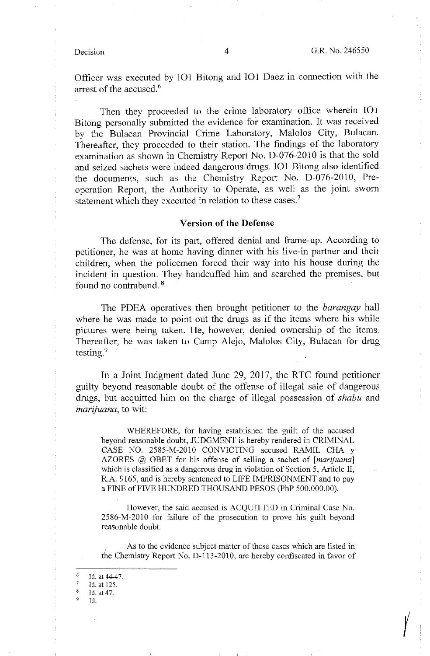Officer was executed by IOI Bitong and IOI Daez in connection with the arrest of the accused.<sup>6</sup>

Then they proceeded to the crime laboratory office wherein **101**  Bitong personally submitted the evidence for examination. It was received by the Bulacan Provincial Crime Laboratory, Malolos City, Bulacan. Thereafter, they proceeded to their station. The findings of the laboratory examination as shown in Chemistry Report No. D-076-2010 is that the sold and seized sachets were indeed dangerous drugs. 101 Bitong also identified the documents, such as the Chemistry Report No. D-076-2010, Preoperation Report, the Authority to Operate, as well as the joint sworn statement which they executed in relation to these cases.<sup>7</sup>

### **Version of the Defense**

The defense, for its part, offered denial and frame-up. According to petitioner, he was at home having dinner with his live-in partner and their children, when the policemen forced their way into his house during the incident in question. They handcuffed him and searched the premises, but found no contraband. <sup>8</sup>

The **PDEA** operatives then brought petitioner to the *barangay* hall where he was made to point out the drugs as if the items where his while pictures were being taken. He, however, denied ownership of the items. Thereafter, he was taken to Camp Alejo, Malolos City, Bulacan for drug testing.<sup>9</sup>

In a Joint Judgment dated June 29, 2017, the RTC found petitioner guilty beyond reasonable doubt of the offense of illegal sale of dangerous drugs, but acquitted him on the charge of illegal possession of *shabu* and *marijuana,* to wit:

WHEREFORE, for having established the guilt of the accused beyond reasonable doubt, JUDGMENT is hereby rendered in CRIMINAL CASE NO. 2585-M-2010 CONVICTING accused RAMIL CHA y AZORES @ OBET for his offense of selling a sachet of *[marijuana]*  which is classified as a dangerous drug in violation of Section 5, Article II, R.A. 9165, and is hereby sentenced to LIFE IMPRISONMENT and to pay a FINE of FIVE HUNDRED THOUSAND PESOS (PhP 500,000.00).

However, the said accused is ACQUITTED in Criminal Case No. 2586-M-2010 for failure of the prosecution to prove his guilt beyond reasonable doubt.

As to the evidence subject matter of these cases which are listed in the Chemistry Report No. D-113-2010, are hereby confiscated in favor of

Id.

 $\frac{6}{7}$  Id. at 44-47.

 $\frac{7}{8}$  Id. at 125.

Id. at 47.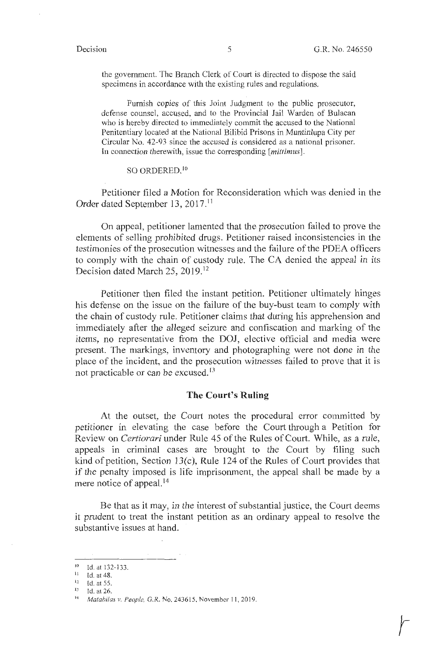the government. The Branch Clerk of Court is directed to dispose the said specimens in accordance with the existing rules and regulations.

Furnish copies of this Joint Judgment to the public prosecutor, defense counsel, accused, and to the Provincial Jail Warden of Bulacan who is hereby directed to immediately commit the accused to the National Penitentiary located at the National Bilibid Prisons in Muntinlupa City per Circular No. 42-93 since the accused is considered as a national prisoner. In connection therewith, issue the corresponding [ *mitlimus].* 

## SO ORDERED. <sup>10</sup>

Petitioner filed a Motion for Reconsideration which was denied in the Order dated September 13, 2017.<sup>11</sup>

On appeal, petitioner lamented that the prosecution failed to prove the elements of selling prohibited drugs. Petitioner raised inconsistencies in the testimonies of the prosecution witnesses and the failure of the PDEA officers to comply with the chain of custody rule. The CA denied the appeal in its Decision dated March 25, 2019.<sup>12</sup>

Petitioner then filed the instant petition. Petitioner ultimately hinges his defense on the issue on the failure of the buy-bust team to comply with the chain of custody rule. Petitioner claims that during his apprehension and immediately after the alleged seizure and confiscation and marking of the items, no representative from the DOJ, elective official and media were present. The markings, inventory and photographing were not done in the place of the incident, and the prosecution witnesses failed to prove that it is not practicable or can be excused.<sup>13</sup>

# **The Court's Ruling**

At the outset, the Court notes the procedural error committed by petitioner in elevating the case before the Court through a Petition for Review on *Certiorari* under Rule 45 of the Rules of Court. While, as a rule, appeals in criminal cases are brought to the Court by filing such kind of petition, Section 13(c), Rule 124 of the Rules of Court provides that if the penalty imposed is life imprisonment, the appeal shall be made by a mere notice of appeal.<sup>14</sup>

Be that as it may, in the interest of substantial justice, the Court deems it prudent to treat the instant petition as an ordinary appeal to resolve the substantive issues at hand.

<sup>&</sup>lt;sup>10</sup> Id. at 132-133.

 $11$  Id. at 48.

<sup>12</sup> Id. at 55. 13 Id. at 26. 14 *Matahilas v. People,* G.R. No. 2436 15. November 11 , 2019.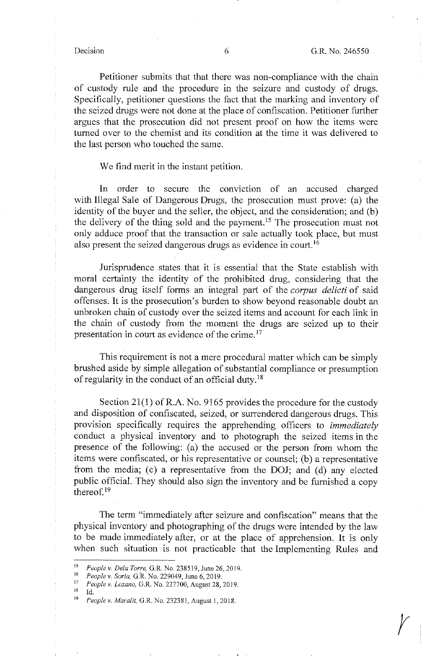$\mathcal{V}$ 

Petitioner submits that that there was non-compliance with the chain of custody rule and the procedure in the seizure and custody of drugs. Specifically, petitioner questions the fact that the marking and inventory of the seized drugs were not done at the place of confiscation. Petitioner further argues that the prosecution did not present proof on how the items were turned over to the chemist and its condition at the time it was delivered to the last person who touched the same.

# We find merit in the instant petition.

In order to secure the conviction of an accused charged with Illegal Sale of Dangerous Drugs, the prosecution must prove: (a) the identity of the buyer and the seller, the object, and the consideration; and (b) the delivery of the thing sold and the payment. 15 The prosecution must not only adduce proof that the transaction or sale actually took place, but must also present the seized dangerous drugs as evidence in court. <sup>16</sup>

Jurisprudence states that it is essential that the State establish with moral certainty the identity of the prohibited drug, considering that the dangerous drug itself forms an integral part of the *corpus delicti* of said offenses. It is the prosecution's burden to show beyond reasonable doubt an unbroken chain of custody over the seized items and account for each link in the chain of custody from the moment the drugs are seized up to their presentation in court as evidence of the crime.<sup>17</sup>

This requirement is not a mere procedural matter which can be simply brushed aside by simple allegation of substantial compliance or presumption of regularity in the conduct of an official duty. <sup>18</sup>

Section  $21(1)$  of R.A. No. 9165 provides the procedure for the custody and disposition of confiscated, seized, or surrendered dangerous drugs. This provision specifically requires the apprehending officers to *immediately*  conduct a physical inventory and to photograph the seized items in the presence of the following: (a) the accused or the person from whom the items were confiscated, or his representative or counsel; (b) a representative from the media; (c) a representative from the DOJ; and (d) any elected public official. They should also sign the inventory and be furnished a copy thereof. $19$ 

The term "immediately after seizure and confiscation" means that the physical inventory and photographing of the drugs were intended by the law to be made immediately after, or at the place of apprehension. It is only when such situation is not practicable that the Implementing Rules and

<sup>15</sup>*People v. Dela Torre,* G.R. No. 238519, June 26, 2019. 16 *People v. Soria, a:R.* No. 229049, June 6, 2019. 17 *People v. Lozano,* G.R. No. 227700, August 28,2019.

<sup>18</sup> Id. 19 *People v. Mara/it,* G.R. No. 232381, August 1, 2018.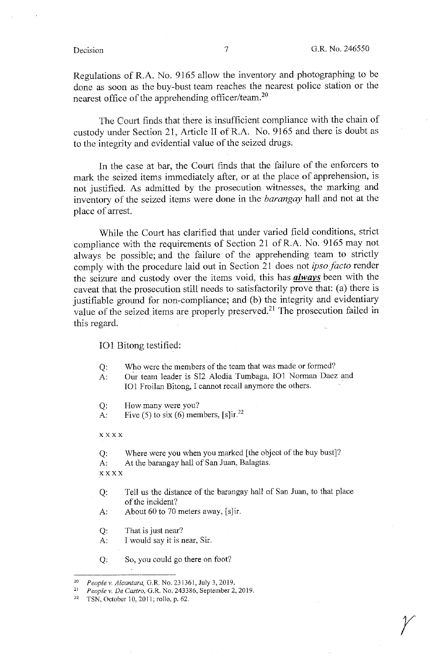$\mathcal{V}$ 

Regulations of R.A. No. 9165 allow the inventory and photographing to be done as soon as the buy-bust team reaches the nearest police station or the nearest office of the apprehending officer/team.<sup>20</sup>

The Court finds that there is insufficient compliance with the chain of custody under Section 21, Article II ofR.A. No. 9165 and there is doubt as to the integrity and evidential value of the seized drugs.

In the case at bar, the Court finds that the failure of the enforcers to mark the seized items immediately after, or at the place of apprehension, is not justified. As admitted by the prosecution witnesses, the marking and inventory of the seized items were done in the *barangay* hall and not at the place of arrest.

While the Court has clarified that under varied field conditions, strict compliance with the requirements of Section 21 ofR.A. No. 9165 may not always be possible; and the failure of the apprehending team to strictly comply with the procedure laid out in Section 21 does not *ipso facto* render the seizure and custody over the items void, this has *always* been with the caveat that the prosecution still needs to satisfactorily prove that: (a) there is justifiable ground for non-compliance; and (b) the integrity and evidentiary value of the seized items are properly preserved.<sup>21</sup> The prosecution failed in this regard.

### IOI Bitong testified:

- Q: Who were the members of the team that was made or formed?
- A: Our team leader is SI2 Alodia Tumbaga, 101 Norman Daez and IOI Froilan Bitong, I cannot recall anymore the others.
- Q: How many were you?
- A: Five (5) to six (6) members,  $[s]$ ir.<sup>22</sup>

xxxx

Q: Where were you when you marked [the object of the buy bust]? A: At the barangay hall of San Juan, Balagtas. xxxx

- Q: Tell us the distance of the barangay hall of San Juan, to that place of the incident?
- A: About 60 to 70 meters away,  $[s]$ ir.
- Q: That is just near?
- A: I would say it is near, Sir.
- Q: So, you could go there on foot?

<sup>20</sup>*People v. Alcantara,* G.R. No. 231361, July 3, 2019. 21 *People v. De Castro,* G.R. No. 243386, September 2, 2019. 22 TSN, October 10, 2011; rollo, p. 62.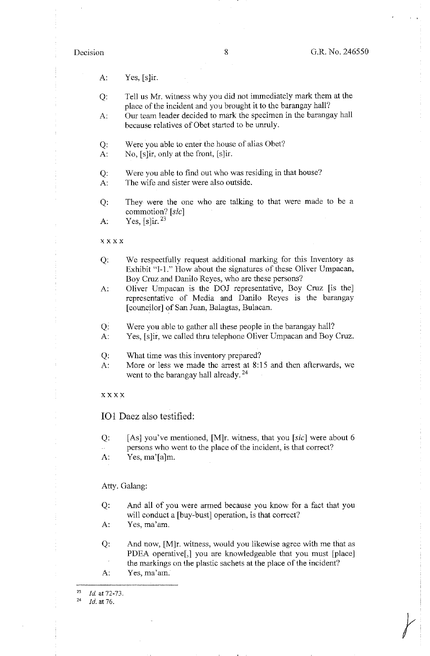$\begin{array}{c} \hline \end{array}$ 

A: Yes, [s]ir.

- Q: Tell us Mr. witness why you did not immediately mark them at the place of the incident and you brought it to the barangay hall?
- A: Our team leader decided to mark the specimen in the barangay hall because relatives of Obet started to be unruly.
- Q: Were you able to enter the house of alias Obet?
- A: No, [s]ir, only at the front, [s]ir.
- Q: Were you able to find out who was residing in that house?
- A: The wife and sister were also outside.
- Q: They were the one who are talking to that were made to be a commotion? [sic]
- A: Yes,  $[s]$ ir. <sup>23</sup>
- xxxx
- Q: We respectfully request additional marking for this Inventory as Exhibit "I-1." How about the signatures of these Oliver Umpacan, Boy Cruz and Danilo Reyes, who are these persons?
- A: Oliver Umpacan is the DOJ representative, Boy Cruz [is the] representative of Media and Danilo Reyes is the barangay [ counc\_ilor] of San Juan, Balagtas, Bulacan.
- Q: Were you able to gather all these people in the barangay hall?
- A: Yes, [s]ir, we called thru telephone Oliver Umpacan and Boy Cruz.
- Q: What time was this inventory prepared?
- A: More or less we made the arrest at 8:15 and then afterwards, we went to the barangay hall already.<sup>24</sup>
- xxxx

IOI Daez also testified:

- Q: [As] you've mentioned,  $[M]r$ . witness, that you [sic] were about 6
- persons who went to the place of the incident, is that correct?
- A: Yes, ma'[a]m.

### Atty. Galang:

- Q: And all of you were armed because you know for a fact that you will conduct a [buy-bust] operation, is that correct?
- A: Yes, ma'am.
- Q: And now, [M]r. witness, would you likewise agree with me that as PDEA operative[,] you are knowledgeable that you must [place] the markings on the plastic sachets at the place of the incident?
- A: Yes, ma'am.

<sup>24</sup>*Id.* at 76.

 $\frac{23}{24}$  *Id.* at 72-73.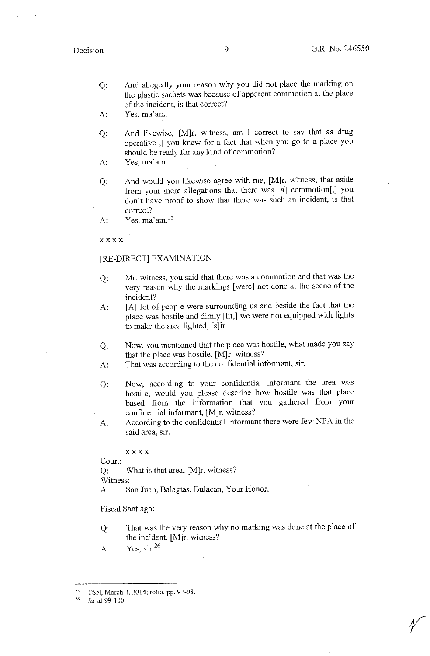- Q: And allegedly your reason why you did not place the marking on the plastic sachets was because of apparent commotion at the place of the incident, is that correct?
- A: Yes, ma'am.
- Q: And likewise, [M]r. witness, am I correct to say that as drug operative[,] you knew for a fact that when you go to a place you should be ready for any kind of commotion?
- A: Yes, ma'am.
- $O:$ And would you likewise agree with me, [M]r. witness, that aside from your mere allegations that there was [a] commotion[,] you don't have proof to show that there was such an incident, is that correct?
- A: Yes,  $ma'$ am. $25$

**xxxx** 

### [RE-DIRECT] EXAMINATION

- Q: Mr. witness, you said that there was a commotion and that was the very reason why the markings [were] not done at the scene of the incident?
- A: [A] lot of people were surrounding us and beside the fact that the place was hostile and dimly **[lit,]** we were not equipped with lights to make the area lighted, [s]ir.
- Q: Now, you mentioned that the place was hostile, what made you say that the place was hostile, [M]r. witness?
- A: That was according to the confidential informant, sir.
- Q: Now, according to your confidential informant the area was hostile, would you please describe how hostile was that place based from the information that you gathered from your confidential informant, [M]r. witness?
- A: According to the confidential informant there were few NPA in the said area, sir.

xxxx

Court: Q: What is that area, [M]r. witness? Witness: A: San Juan, Balagtas, Bulacan, Your Honor,

Fiscal Santiago:

Q: That was the very reason why no marking was done at the place of the incident, [M]r. witness?

A: Yes,  $\sin^{26}$ 

<sup>25</sup> TSN, March 4, 2014; rollo, pp. 97-98.

<sup>76</sup> *Id* at 99-100.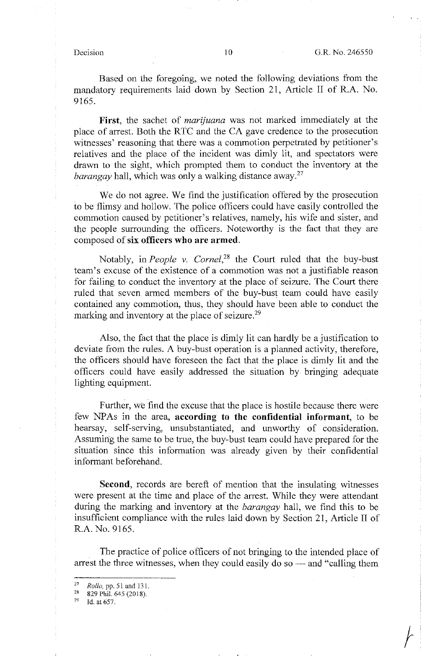Based on the foregoing, we noted the following deviations from the mandatory requirements laid down by Section 21, Article II of R.A. No. 9165.

**First,** the sachet of *marijuana* was not marked immediately at the place of arrest. Both the RTC and the CA gave credence to the prosecution witnesses' reasoning that there was a commotion perpetrated by petitioner's relatives and the place of the incident was dimly lit, and spectators were drawn to the sight, which prompted them to conduct the inventory at the *barangay* hall, which was only a walking distance away.<sup>27</sup>

We do not agree. We find the justification offered by the prosecution to be flimsy and hollow. The police officers could have easily controlled the commotion caused by petitioner's relatives, namely, his wife and sister, and the people surrounding the officers. Noteworthy is the fact that they are composed of **six officers who are armed.** 

Notably, in *People v. Cornel,28* the Court ruled that the buy-bust team's excuse of the existence of a commotion was not a justifiable reason for failing to conduct the inventory at the place of seizure. The Court there ruled that seven armed members of the buy-bust team could have easily contained any commotion, thus, they should have been able to conduct the marking and inventory at the place of seizure.<sup>29</sup>

Also, the fact that the place is dimly lit can hardly be a justification to deviate from the rules. A buy-bust operation is a planned activity, therefore, the officers should have foreseen the fact that the place is dimly lit and the officers could have easily addressed the situation by bringing adequate lighting equipment.

Further, we find the excuse that the place is hostile because there were few NP As in the area, **according to the confidential informant,** to be hearsay, self-serving, unsubstantiated, and unworthy of consideration. Assuming the same to be true, the buy-bust team could have prepared for the situation since this information was already given by their confidential informant beforehand.

**Second,** records are bereft of mention that the insulating witnesses were present at the time and place of the arrest. While they were attendant during the marking and inventory at the *barangay* hall, we find this to be insufficient compliance with the rules laid down by Section 21, Article II of R.A. No. 9165.

The practice of police officers of not bringing to the intended place of arrest the three witnesses, when they could easily do so — and "calling them

<sup>&</sup>lt;sup>27</sup> *Rollo, pp.* 51 and 131.<br><sup>28</sup> 829 Phil. 645 (2018).

Id. at 657.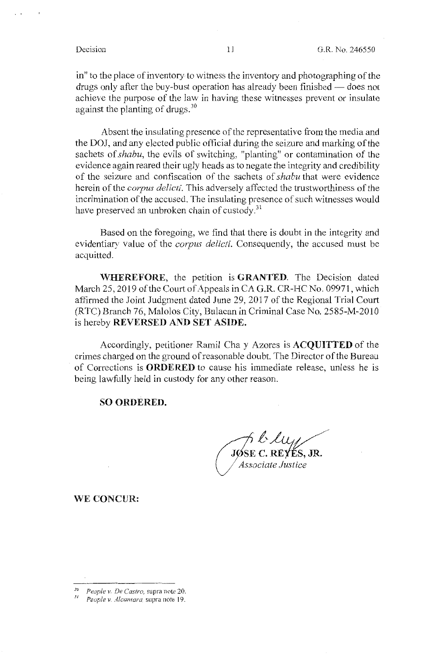in" to the place of inventory to witness the inventory and photographing of the drugs only after the buy-bust operation has already been finished — does not achieve the purpose of the law in having these witnesses prevent or insulate against the planting of drugs.<sup>30</sup>

Absent the insulating presence of the representative from the media and the DOJ, and any elected public official during the seizure and marking of the sachets of *shabu*, the evils of switching, "planting" or contamination of the evidence again reared their ugly heads as to negate the integrity and credibility of the seizure and confiscation of the sachets of *shabu* that were evidence herein of the *corpus delicti.* This adversely affected the trustworthiness of the incrimination of the accused. The insulating presence of such witnesses would have preserved an unbroken chain of custody. $31$ 

Based on the foregoing, we find that there is doubt in the integrity and evidentiary value of the *corpus delicti.* Consequently, the accused must be acquitted.

**WHEREFORE,** the petition is **GRANTED.** The Decision dated March 25, 2019 of the Court of Appeals in CA G.R. CR-HC No. 09971, which affinned the Joint Judgment dated June 29, 2017 of the Regional Trial Court (RTC) Branch 76, Malolos City, Bulacan in Criminal Case No. 2585-M-2010 is hereby **REVERSED AND SET ASIDE.** 

Accordingly, petitioner Ramil Cha y Azores is **ACQUITTED** of the crimes charged on the ground of reasonable doubt. The Director of the Bureau of Corrections is **ORDERED** to cause his immediate release, unless he is being lawfully held in custody for any other reason.

### **SO ORDERED.**

·L~kt JØSE C. REYÉS, JR.

*Associate Justice* 

**WE CONCUR:** 

<sup>3</sup>*a People v" De Castro,* supra note 20.

*<sup>31</sup> People v. Alcantara,* supra note 19.